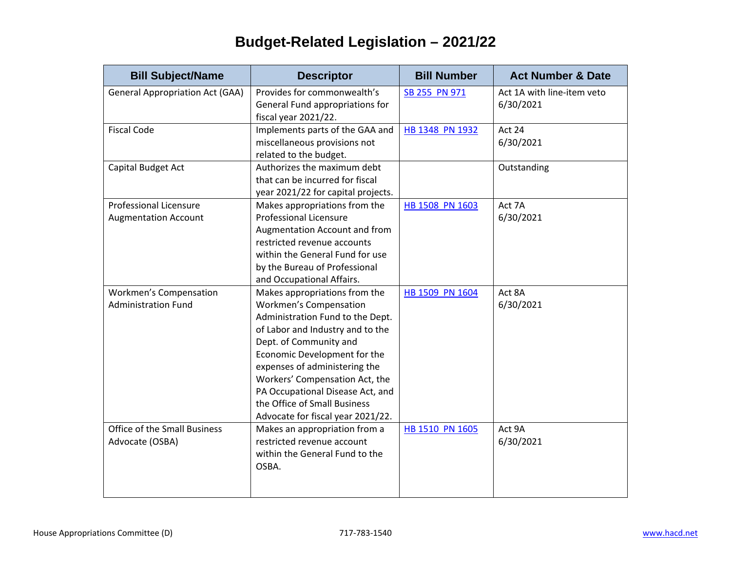## **Budget-Related Legislation – 2021/22**

| <b>Bill Subject/Name</b>               | <b>Descriptor</b>                  | <b>Bill Number</b> | <b>Act Number &amp; Date</b> |
|----------------------------------------|------------------------------------|--------------------|------------------------------|
| <b>General Appropriation Act (GAA)</b> | Provides for commonwealth's        | SB 255 PN 971      | Act 1A with line-item veto   |
|                                        | General Fund appropriations for    |                    | 6/30/2021                    |
|                                        | fiscal year 2021/22.               |                    |                              |
| <b>Fiscal Code</b>                     | Implements parts of the GAA and    | HB 1348 PN 1932    | Act 24                       |
|                                        | miscellaneous provisions not       |                    | 6/30/2021                    |
|                                        | related to the budget.             |                    |                              |
| Capital Budget Act                     | Authorizes the maximum debt        |                    | Outstanding                  |
|                                        | that can be incurred for fiscal    |                    |                              |
|                                        | year 2021/22 for capital projects. |                    |                              |
| <b>Professional Licensure</b>          | Makes appropriations from the      | HB 1508 PN 1603    | Act 7A                       |
| <b>Augmentation Account</b>            | <b>Professional Licensure</b>      |                    | 6/30/2021                    |
|                                        | Augmentation Account and from      |                    |                              |
|                                        | restricted revenue accounts        |                    |                              |
|                                        | within the General Fund for use    |                    |                              |
|                                        | by the Bureau of Professional      |                    |                              |
|                                        | and Occupational Affairs.          |                    |                              |
| Workmen's Compensation                 | Makes appropriations from the      | HB 1509 PN 1604    | Act 8A                       |
| <b>Administration Fund</b>             | <b>Workmen's Compensation</b>      |                    | 6/30/2021                    |
|                                        | Administration Fund to the Dept.   |                    |                              |
|                                        | of Labor and Industry and to the   |                    |                              |
|                                        | Dept. of Community and             |                    |                              |
|                                        | Economic Development for the       |                    |                              |
|                                        | expenses of administering the      |                    |                              |
|                                        | Workers' Compensation Act, the     |                    |                              |
|                                        | PA Occupational Disease Act, and   |                    |                              |
|                                        | the Office of Small Business       |                    |                              |
|                                        | Advocate for fiscal year 2021/22.  |                    |                              |
| <b>Office of the Small Business</b>    | Makes an appropriation from a      | HB 1510 PN 1605    | Act 9A                       |
| Advocate (OSBA)                        | restricted revenue account         |                    | 6/30/2021                    |
|                                        | within the General Fund to the     |                    |                              |
|                                        | OSBA.                              |                    |                              |
|                                        |                                    |                    |                              |
|                                        |                                    |                    |                              |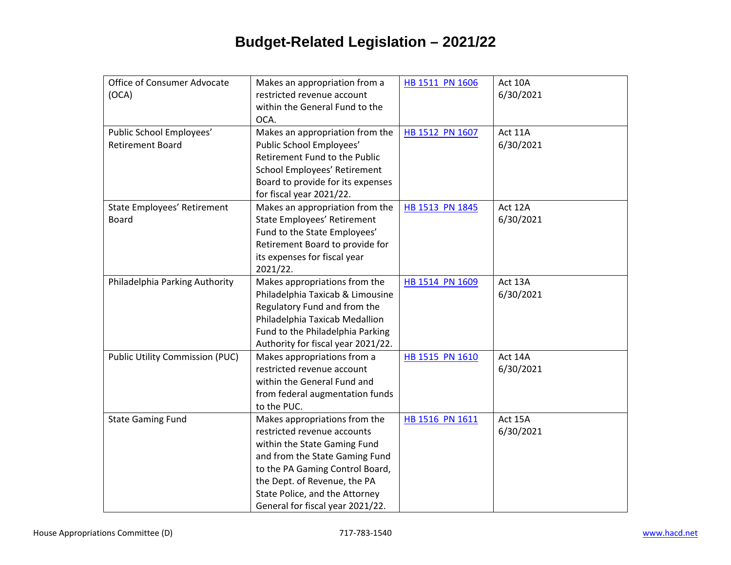## **Budget-Related Legislation – 2021/22**

| Office of Consumer Advocate            | Makes an appropriation from a      | HB 1511 PN 1606 | Act 10A   |
|----------------------------------------|------------------------------------|-----------------|-----------|
| (OCA)                                  | restricted revenue account         |                 | 6/30/2021 |
|                                        | within the General Fund to the     |                 |           |
|                                        |                                    |                 |           |
|                                        | OCA.                               |                 |           |
| Public School Employees'               | Makes an appropriation from the    | HB 1512 PN 1607 | Act 11A   |
| <b>Retirement Board</b>                | Public School Employees'           |                 | 6/30/2021 |
|                                        | Retirement Fund to the Public      |                 |           |
|                                        | School Employees' Retirement       |                 |           |
|                                        | Board to provide for its expenses  |                 |           |
|                                        | for fiscal year 2021/22.           |                 |           |
| State Employees' Retirement            | Makes an appropriation from the    | HB 1513 PN 1845 | Act 12A   |
| <b>Board</b>                           | State Employees' Retirement        |                 | 6/30/2021 |
|                                        | Fund to the State Employees'       |                 |           |
|                                        | Retirement Board to provide for    |                 |           |
|                                        | its expenses for fiscal year       |                 |           |
|                                        | 2021/22.                           |                 |           |
| Philadelphia Parking Authority         | Makes appropriations from the      | HB 1514 PN 1609 | Act 13A   |
|                                        | Philadelphia Taxicab & Limousine   |                 | 6/30/2021 |
|                                        | Regulatory Fund and from the       |                 |           |
|                                        | Philadelphia Taxicab Medallion     |                 |           |
|                                        | Fund to the Philadelphia Parking   |                 |           |
|                                        | Authority for fiscal year 2021/22. |                 |           |
|                                        |                                    |                 | Act 14A   |
| <b>Public Utility Commission (PUC)</b> | Makes appropriations from a        | HB 1515 PN 1610 |           |
|                                        | restricted revenue account         |                 | 6/30/2021 |
|                                        | within the General Fund and        |                 |           |
|                                        | from federal augmentation funds    |                 |           |
|                                        | to the PUC.                        |                 |           |
| <b>State Gaming Fund</b>               | Makes appropriations from the      | HB 1516 PN 1611 | Act 15A   |
|                                        | restricted revenue accounts        |                 | 6/30/2021 |
|                                        | within the State Gaming Fund       |                 |           |
|                                        | and from the State Gaming Fund     |                 |           |
|                                        | to the PA Gaming Control Board,    |                 |           |
|                                        | the Dept. of Revenue, the PA       |                 |           |
|                                        | State Police, and the Attorney     |                 |           |
|                                        | General for fiscal year 2021/22.   |                 |           |